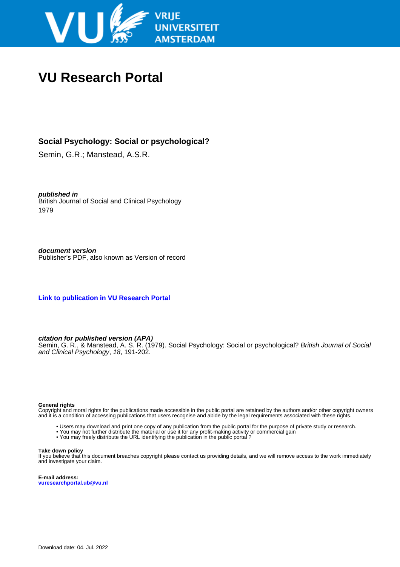

# **VU Research Portal**

# **Social Psychology: Social or psychological?**

Semin, G.R.; Manstead, A.S.R.

**published in** British Journal of Social and Clinical Psychology 1979

**document version** Publisher's PDF, also known as Version of record

**[Link to publication in VU Research Portal](https://research.vu.nl/en/publications/2f5344cd-8668-4da1-ad65-976be76ad4f2)**

# **citation for published version (APA)**

Semin, G. R., & Manstead, A. S. R. (1979). Social Psychology: Social or psychological? British Journal of Social and Clinical Psychology, 18, 191-202.

# **General rights**

Copyright and moral rights for the publications made accessible in the public portal are retained by the authors and/or other copyright owners and it is a condition of accessing publications that users recognise and abide by the legal requirements associated with these rights.

- Users may download and print one copy of any publication from the public portal for the purpose of private study or research.
- You may not further distribute the material or use it for any profit-making activity or commercial gain
- You may freely distribute the URL identifying the publication in the public portal ?

# **Take down policy**

If you believe that this document breaches copyright please contact us providing details, and we will remove access to the work immediately and investigate your claim.

**E-mail address: vuresearchportal.ub@vu.nl**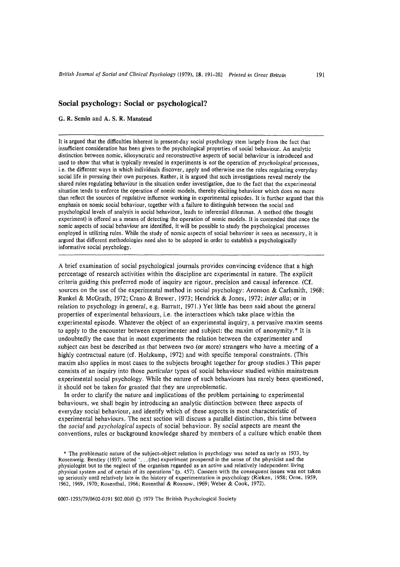# Social psychology: Social or psychological?

G. R. Semin and A. S. R. Manstead

It is argued that the difficulties inherent in present-day social psychology stem largely from the fact that insufficient consideration has been given to the psychological properties of social behaviour. An analytic distinction between nomic, idiosyncratic and reconstructive aspects of social behaviour is introduced and used to show that what is typically revealed in experiments is not the operation of *psychological* processes, i.e. the different ways in which individuals discover, apply and otherwise use the rules regulating everyday social life in pursuing their own purposes. Rather, it is argued that such investigations reveal merely the shared rules regulating behaviour in the situation under investigation, due to the fact that the experimental situation tends to enforce the operation of nomic models, thereby eliciting behaviour which does no more than reflect the sources of regulative influence working in experimental episodes. It is further argued that this emphasis on nomic social behaviour, together with a failure to distinguish between the social and psychological levels of analysis in social behaviour, leads to inferential dilemmas. A method (the thought experiment) is offered as a means of detecting the operation of nomic models. It is contended that once the nomic aspects of social behaviour are identified, it will be possible to study the psychological processes employed in utilizing rules. While the study of nomic aspects of social behaviour is seen as necessary, it is argued that different methodologies need also to be adopted in order to establish a psychologically informative social psychology.

A brief examination of social psychological journals provides convincing evidence that a high percentage of research activities within the discipline are experimental in nature. The explicit criteria guiding this preferred mode of inquiry are rigour, precision and causal inference. (Cf. sources on the use of the experimental method in social psychology: Aronson & Carlsmith, 1968; Runkel & McGrath, 1972; Crano & Brewer, 1973; Hendrick & Jones, 1972; inter alia; or in relation to psychology in general, e.g. Barratt, 1971.) Yet little has been said about the general properties of experimental behaviours, i.e. the interactions which take place within the experimental episode. Whatever the object of an experimental inquiry, a pervasive maxim seems to apply to the encounter between experimenter and subject; the maxim of anonymity.\* It is undoubtedly the case that in most experiments the relation between the experimenter and subject can best be described as that between two (or more) strangers who have a meeting of a highly contractual nature (cf. Holzkamp, 1972) and with specific temporal constraints. (This maxim also applies in most cases to the subjects brought together for group studies.) This paper consists of an inquiry into those *particular* types of social behaviour studied within mainstream experimental social psychology. While the nature of such behaviours has rarely been questioned, it should not be taken for granted that they are unproblematic.

In order to clarify the nature and implications of the problem pertaining to experimental behaviours, we shall begin by introducing an analytic distinction between three aspects of everyday social behaviour, and identify which of these aspects is most characteristic of experimental behaviours. The next section will discuss a parallel distinction, this time between the social and psychological aspects of social behaviour. By social aspects are meant the conventions, rules or background knowledge shared by members of a culture which enable them

\* The problematic nature of the subject-object relation in psychology was noted as early as 1933, by Rosenweig. Bentley (1937) noted '... (the) experiment prospered in the sense of the physicist and the physiologist but to the neglect of the organism regarded as an active and relatively independent living physical system and of certain of its operations' (p. 457). Concern with the consequent issues was not taken up seriously until relatively late in the history of experimentation in psychology (Rieken, 1958; Orne, 1959, 1962, 1969, 1970; Rosenthal, 1966; Rosenthal & Rosnow, 1969; Weber & Cook, 1972).

0007-1293/79/0602-0191 \$02.00/0 © 1979 The British Psychological Society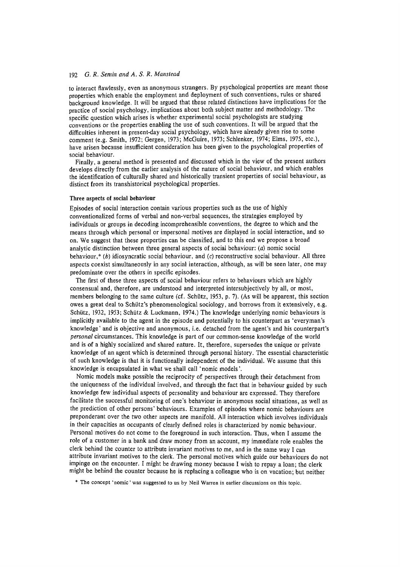to interact flawlessly, even as anonymous strangers. By psychological properties are meant those properties which enable the employment and deployment of such conventions, rules or shared background knowledge. It will be argued that these related distinctions have implications for the practice of social psychology, implications about both subject matter and methodology. The specific question which arises is whether experimental social psychologists are studying conventions or the properties enabling the use of such conventions. It will be argued that the difficulties inherent in present-day social psychology, which have already given rise to some comment (e.g. Smith, 1972; Gergen, 1973; McGuire, 1973; Schlenker, 1974; Elms, 1975, etc.), have arisen because insufficient consideration has been given to the psychological properties of social behaviour.

Finally, a general method is presented and discussed which in the view of the present authors develops directly from the earlier analysis of the nature of social behaviour, and which enables the identification of culturally shared and historically transient properties of social behaviour, as distinct from its transhistorical psychological properties.

### Three aspects of social behaviour

Episodes of social interaction contain various properties such as the use of highly conventionalized forms of verbal and non-verbal sequences, the strategies employed by individuals or groups in decoding incomprehensible conventions, the degree to which and the means through which personal or impersonal motives are displayed in social interaction, and so on. We suggest that these properties can be classified, and to this end we propose a broad analytic distinction between three general aspects of social behaviour; (a) nomic social behaviour,\* (b) idiosyncratic social behaviour, and (c) reconstructive social behaviour. All three aspects coexist simultaneously in any social interaction, although, as will be seen later, one may predominate over the others in specific episodes.

The first of these three aspects of social behaviour refers to behaviours which are highly consensual and, therefore, are understood and interpreted intersubjectively by all, or most, members belonging to the same culture (cf. Schütz, 1953, p. 7). (As will be apparent, this section owes a great deal to Schütz's phenomenological sociology, and borrows from it extensively, e.g. Schütz, 1932, 1953; Schütz & Luckmann, 1974.) The knowledge underlying nomic behaviours is implicitly available to the agent in the episode and potentially to his counterpart as 'everyman's knowledge' and is objective and anonymous, *i.e.* detached from the agent's and his counterpart's personal circumstances. This knowledge is part of our common-sense knowledge of the world and is of a highly socialized and shared nature. It, therefore, supersedes the unique or private knowledge of an agent which is determined through personal history. The essential characteristic of such knowledge is that it is functionally independent of the individual. We assume that this knowledge is encapsulated in what we shall call 'nomic models'.

Nomic models make possible the reciprocity of perspectives through their detachment from the uniqueness of the individual involved, and through the fact that in behaviour guided by such knowledge few individual aspects of personality and behaviour are expressed. They therefore facilitate the successful monitoring of one's behaviour in anonymous social situations, as well as the prediction of other persons' behaviours. Examples of episodes where nomic behaviours are preponderant over the two other aspects are manifold. All interaction which involves individuals in their capacities as occupants of clearly defined roles is characterized by nomic behaviour. Personal motives do not come to the foreground in such interaction. Thus, when I assume the role of a customer in a bank and draw money from an account, my immediate role enables the clerk behind the counter to attribute invariant motives to me, and in the same way I can attribute invariant motives to the clerk. The personal motives which guide our behaviours do not impinge on the encounter. I might be drawing money because I wish to repay a loan; the clerk might be behind the counter because he is replacing a colleague who is on vacation; but neither

\* The concept 'nomic' was suggested to us by Neil Warren in earlier discussions on this topic.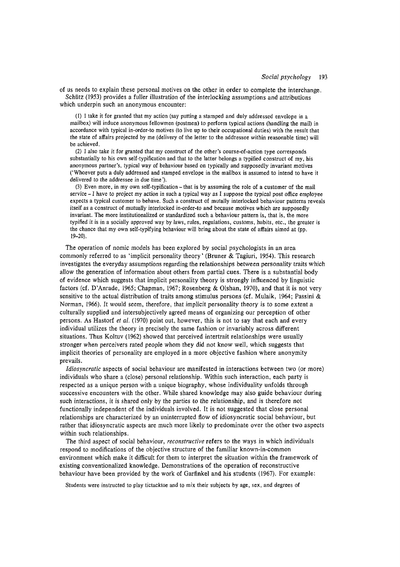of us needs to explain these personal motives on the other in order to complete the interchange. Schütz (1953) provides a fuller illustration of the interlocking assumptions and attributions which underpin such an anonymous encounter:

(1) I take it for granted that my action (say putting a stamped and duly addressed envelone in a mailbox) will induce anonymous fellowmen (postmen) to perform typical actions (handling the mail) in accordance with typical in-order-to motives (to live up to their occupational duties) with the result that the state of affairs projected by me (delivery of the letter to the addressee within reasonable time) will be achieved.

(2) I also take it for granted that my construct of the other's course-of-action type corresponds substantially to his own self-typification and that to the latter belongs a typified construct of my, his anonymous partner's, typical way of behaviour based on typically and supposedly invariant motives ('Whoever puts a duly addressed and stamped envelope in the mailbox is assumed to intend to have it delivered to the addressee in due time').

(3) Even more, in my own self-typification – that is by assuming the role of a customer of the mail service  $-I$  have to project my action in such a typical way as I suppose the typical post office employee expects a typical customer to behave. Such a construct of mutally interlocked behaviour patterns reveals itself as a construct of mutually interlocked in-order-to and because motives which are supposedly invariant. The more institutionalized or standardized such a behaviour pattern is, that is, the more typified it is in a socially approved way by laws, rules, regulations, customs, habits, etc., the greater is the chance that my own self-typifying behaviour will bring about the state of affairs aimed at (pp.  $19 - 20$ ).

The operation of nomic models has been explored by social psychologists in an area commonly referred to as 'implicit personality theory' (Bruner & Tagiuri, 1954). This research investigates the everyday assumptions regarding the relationships between personality traits which allow the generation of information about others from partial cues. There is a substantial body of evidence which suggests that implicit personality theory is strongly influenced by linguistic factors (cf. D'Anrade, 1965; Chapman, 1967; Rosenberg & Olshan, 1970), and that it is not very sensitive to the actual distribution of traits among stimulus persons (cf. Mulaik, 1964; Passini & Norman, 1966). It would seem, therefore, that implicit personality theory is to some extent a culturally supplied and intersubjectively agreed means of organizing our perception of other persons. As Hastorf et al. (1970) point out, however, this is not to say that each and every individual utilizes the theory in precisely the same fashion or invariably across different situations. Thus Koltuy (1962) showed that perceived intertrait relationships were usually stronger when perceivers rated people whom they did not know well, which suggests that implicit theories of personality are employed in a more objective fashion where anonymity prevails.

*Idiosyncratic* aspects of social behaviour are manifested in interactions between two (or more) individuals who share a (close) personal relationship. Within such interaction, each party is respected as a unique person with a unique biography, whose individuality unfolds through successive encounters with the other. While shared knowledge may also guide behaviour during such interactions, it is shared only by the parties to the relationship, and is therefore not functionally independent of the individuals involved. It is not suggested that close personal relationships are characterized by an uninterrupted flow of idiosyncratic social behaviour, but rather that idiosyncratic aspects are much more likely to predominate over the other two aspects within such relationships.

The third aspect of social behaviour, reconstructive refers to the ways in which individuals respond to modifications of the objective structure of the familiar known-in-common environment which make it difficult for them to interpret the situation within the framework of existing conventionalized knowledge. Demonstrations of the operation of reconstructive behaviour have been provided by the work of Garfinkel and his students (1967). For example:

Students were instructed to play tictacktoe and to mix their subjects by age, sex, and degrees of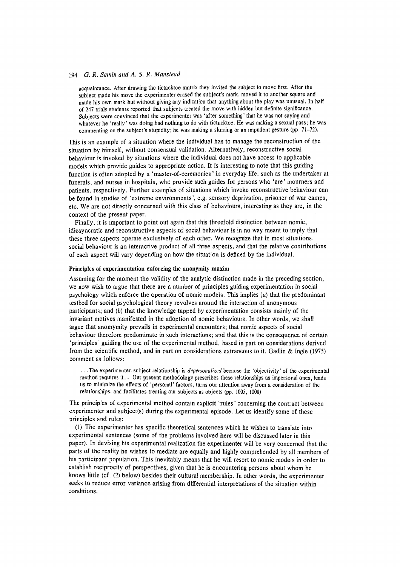acquaintance. After drawing the tictacktoe matrix they invited the subject to move first. After the subject made his move the experimenter erased the subject's mark, moved it to another square and made his own mark but without giving any indication that anything about the play was unusual. In half of 247 trials students reported that subjects treated the move with hidden but definite significance. Subjects were convinced that the experimenter was 'after something' that he was not saying and whatever he 'really' was doing had nothing to do with tictacktoe. He was making a sexual pass; he was commenting on the subject's stupidity; he was making a slurring or an impudent gesture (pp. 71-72).

This is an example of a situation where the individual has to manage the reconstruction of the situation by himself, without consensual validation. Alternatively, reconstructive social behaviour is invoked by situations where the individual does not have access to applicable models which provide guides to appropriate action. It is interesting to note that this guiding function is often adopted by a 'master-of-ceremonies' in everyday life, such as the undertaker at funerals, and nurses in hospitals, who provide such guides for persons who 'are' mourners and patients, respectively. Further examples of situations which invoke reconstructive behaviour can be found in studies of 'extreme environments', e.g. sensory deprivation, prisoner of war camps, etc. We are not directly concerned with this class of behaviours, interesting as they are, in the context of the present paper.

Finally, it is important to point out again that this threefold distinction between nomic, idiosyncratic and reconstructive aspects of social behaviour is in no way meant to imply that these three aspects operate exclusively of each other. We recognize that in most situations, social behaviour is an interactive product of all three aspects, and that the relative contributions of each aspect will vary depending on how the situation is defined by the individual.

# Principles of experimentation enforcing the anonymity maxim

Assuming for the moment the validity of the analytic distinction made in the preceding section, we now wish to argue that there are a number of principles guiding experimentation in social psychology which enforce the operation of nomic models. This implies  $(a)$  that the predominant testbed for social psychological theory revolves around the interaction of anonymous participants; and  $(b)$  that the knowledge tapped by experimentation consists mainly of the invariant motives manifested in the adoption of nomic behaviours. In other words, we shall argue that anomymity prevails in experimental encounters; that nomic aspects of social behaviour therefore predominate in such interactions; and that this is the consequence of certain 'principles' guiding the use of the experimental method, based in part on considerations derived from the scientific method, and in part on considerations extraneous to it. Gadlin & Ingle  $(1975)$ comment as follows:

...The experimenter-subject relationship is *depersonalized* because the 'objectivity' of the experimental method requires it... Our present methodology prescribes these relationships as impersonal ones, leads us to minimize the effects of 'personal' factors, turns our attention away from a consideration of the relationships, and facilitates treating our subjects as objects (pp. 1005, 1008)

The principles of experimental method contain explicit 'rules' concerning the contract between experimenter and subject(s) during the experimental episode. Let us identify some of these principles and rules:

(1) The experimenter has specific theoretical sentences which he wishes to translate into experimental sentences (some of the problems involved here will be discussed later in this paper). In devising his experimental realization the experimenter will be very concerned that the parts of the reality he wishes to mediate are equally and highly comprehended by all members of his participant population. This inevitably means that he will resort to nomic models in order to establish reciprocity of perspectives, given that he is encountering persons about whom he knows little (cf. (2) below) besides their cultural membership. In other words, the experimenter seeks to reduce error variance arising from differential interpretations of the situation within conditions.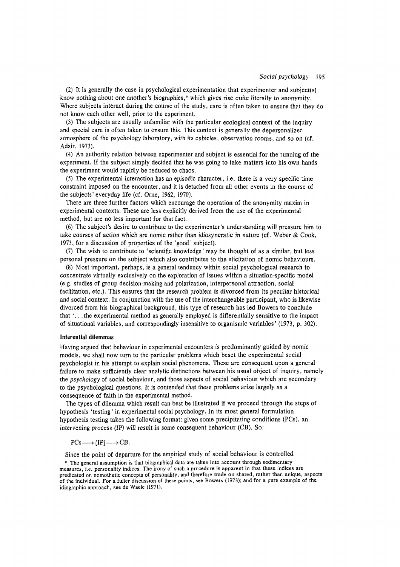(2) It is generally the case in psychological experimentation that experimenter and subject(s) know nothing about one another's biographies,\* which gives rise quite literally to anonymity. Where subjects interact during the course of the study, care is often taken to ensure that they do not know each other well, prior to the experiment.

(3) The subjects are usually unfamiliar with the particular ecological context of the inquiry and special care is often taken to ensure this. This context is generally the depersonalized atmosphere of the psychology laboratory, with its cubicles, observation rooms, and so on (cf. Adair, 1973).

(4) An authority relation between experimenter and subject is essential for the running of the experiment. If the subject simply decided that he was going to take matters into his own hands the experiment would rapidly be reduced to chaos.

(5) The experimental interaction has an episodic character, i.e. there is a very specific time constraint imposed on the encounter, and it is detached from all other events in the course of the subjects' everyday life (cf. Orne, 1962, 1970).

There are three further factors which encourage the operation of the anonymity maxim in experimental contexts. These are less explicitly derived from the use of the experimental method, but are no less important for that fact.

(6) The subject's desire to contribute to the experimenter's understanding will pressure him to take courses of action which are nomic rather than idiosyncratic in nature (cf. Weber & Cook. 1973, for a discussion of properties of the 'good' subject).

(7) The wish to contribute to 'scientific knowledge' may be thought of as a similar, but less personal pressure on the subject which also contributes to the elicitation of nomic behaviours.

(8) Most important, perhaps, is a general tendency within social psychological research to concentrate virtually exclusively on the exploration of issues within a situation-specific model (e.g. studies of group decision-making and polarization, interpersonal attraction, social facilitation, etc.). This ensures that the research problem is divorced from its peculiar historical and social context. In conjunction with the use of the interchangeable participant, who is likewise divorced from his biographical background, this type of research has led Bowers to conclude that '...the experimental method as generally employed is differentially sensitive to the impact of situational variables, and correspondingly insensitive to organismic variables' (1973, p. 302).

# **Inferential dilemmas**

Having argued that behaviour in experimental encounters is predominantly guided by nomic models, we shall now turn to the particular problems which beset the experimental social psychologist in his attempt to explain social phenomena. These are consequent upon a general failure to make sufficiently clear analytic distinctions between his usual object of inquiry, namely the psychology of social behaviour, and those aspects of social behaviour which are secondary to the psychological questions. It is contended that these problems arise largely as a consequence of faith in the experimental method.

The types of dilemma which result can best be illustrated if we proceed through the steps of hypothesis 'testing' in experimental social psychology. In its most general formulation hypothesis testing takes the following format: given some precipitating conditions (PCs), an intervening process (IP) will result in some consequent behaviour (CB). So:

$$
PCs \longrightarrow [IP] \longrightarrow CB.
$$

Since the point of departure for the empirical study of social behaviour is controlled

\* The general assumption is that biographical data are taken into account through sedimentary measures, i.e. personality indices. The irony of such a procedure is apparent in that these indices are predicated on nomothetic concepts of personality, and therefore trade on shared, rather than unique, aspects of the individual. For a fuller discussion of these points, see Bowers (1973); and for a pure example of the idiographic approach, see de Waele (1971).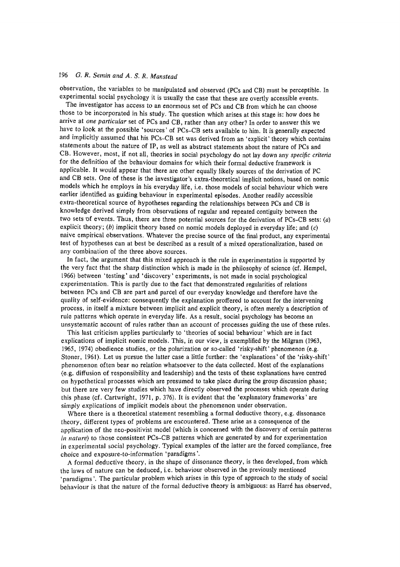observation, the variables to be manipulated and observed (PCs and CB) must be perceptible. In experimental social psychology it is usually the case that these are overtly accessible events.

The investigator has access to an enormous set of PCs and CB from which he can choose those to be incorporated in his study. The question which arises at this stage is: how does he arrive at one particular set of PCs and CB, rather than any other? In order to answer this we have to look at the possible 'sources' of PCs-CB sets available to him. It is generally expected and implicitly assumed that his PCs-CB set was derived from an 'explicit' theory which contains statements about the nature of IP, as well as abstract statements about the nature of PCs and CB. However, most, if not all, theories in social psychology do not lay down any specific criteria for the definition of the behaviour domains for which their formal deductive framework is applicable. It would appear that there are other equally likely sources of the derivation of PC and CB sets. One of these is the investigator's extra-theoretical implicit notions, based on nomic models which he employs in his everyday life, i.e. those models of social behaviour which were earlier identified as guiding behaviour in experimental episodes. Another readily accessible extra-theoretical source of hypotheses regarding the relationships between PCs and CB is knowledge derived simply from observations of regular and repeated contiguity between the two sets of events. Thus, there are three potential sources for the derivation of PCs-CB sets: (a) explicit theory; (b) implicit theory based on nomic models deployed in everyday life; and (c) naive empirical observations. Whatever the precise source of the final product, any experimental test of hypotheses can at best be described as a result of a mixed operationalization, based on any combination of the three above sources.

In fact, the argument that this mixed approach is the rule in experimentation is supported by the very fact that the sharp distinction which is made in the philosophy of science (cf. Hempel, 1966) between 'testing' and 'discovery' experiments, is not made in social psychological experimentation. This is partly due to the fact that demonstrated regularities of relations between PCs and CB are part and parcel of our everyday knowledge and therefore have the quality of self-evidence: consequently the explanation proffered to account for the intervening process, in itself a mixture between implicit and explicit theory, is often merely a description of rule patterns which operate in everyday life. As a result, social psychology has become an unsystematic account of rules rather than an account of processes guiding the use of these rules.

This last criticism applies particularly to 'theories of social behaviour' which are in fact explications of implicit nomic models. This, in our view, is exemplified by the Milgram (1963, 1965, 1974) obedience studies, or the polarization or so-called 'risky-shift' phenomenon (e.g. Stoner, 1961). Let us pursue the latter case a little further: the 'explanations' of the 'risky-shift' phenomenon often bear no relation whatsoever to the data collected. Most of the explanations (e.g. diffusion of responsibility and leadership) and the tests of these explanations have centred on hypothetical processes which are presumed to take place during the group discussion phase; but there are very few studies which have directly observed the processes which operate during this phase (cf. Cartwright, 1971, p. 376). It is evident that the 'explanatory frameworks' are simply explications of implicit models about the phenomenon under observation.

Where there is a theoretical statement resembling a formal deductive theory, e.g. dissonance theory, different types of problems are encountered. These arise as a consequence of the application of the neo-positivist model (which is concerned with the discovery of certain patterns in nature) to those consistent PCs-CB patterns which are generated by and for experimentation in experimental social psychology. Typical examples of the latter are the forced compliance, free choice and exposure-to-information 'paradigms'.

A formal deductive theory, in the shape of dissonance theory, is then developed, from which the laws of nature can be deduced, i.e. behaviour observed in the previously mentioned 'paradigms'. The particular problem which arises in this type of approach to the study of social behaviour is that the nature of the formal deductive theory is ambiguous: as Harré has observed.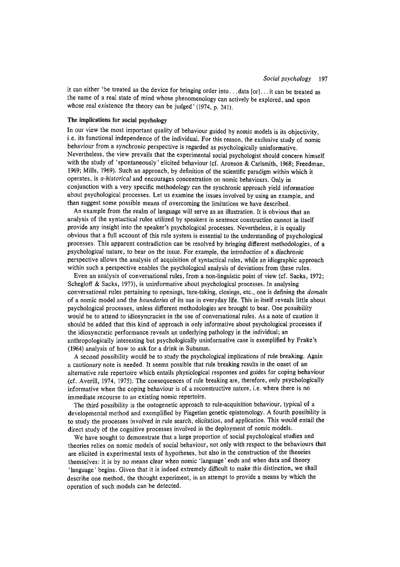it can either 'be treated as the device for bringing order into...data [or]...it can be treated as the name of a real state of mind whose phenomenology can actively be explored, and upon whose real existence the theory can be judged'  $(1974, p. 241)$ .

# The implications for social psychology

In our view the most important quality of behaviour guided by nomic models is its objectivity, i.e. its functional independence of the individual. For this reason, the exclusive study of nomic behaviour from a synchronic perspective is regarded as psychologically uninformative. Nevertheless, the view prevails that the experimental social psychologist should concern himself with the study of 'spontaneously' elicited behaviour (cf. Aronson & Carlsmith, 1968; Freedman, 1969; Mills, 1969). Such an approach, by definition of the scientific paradigm within which it operates, is *a-historical* and encourages concentration on nomic behaviours. Only in conjunction with a very specific methodology can the synchronic approach yield information about psychological processes. Let us examine the issues involved by using an example, and then suggest some possible means of overcoming the limitations we have described.

An example from the realm of language will serve as an illustration. It is obvious that an analysis of the syntactical rules utilized by speakers in sentence construction cannot in itself provide any insight into the speaker's psychological processes. Nevertheless, it is equally obvious that a full account of this rule system is essential to the understanding of psychological processes. This apparent contradiction can be resolved by bringing different methodologies, of a psychological nature, to bear on the issue. For example, the introduction of a diachronic perspective allows the analysis of acquisition of syntactical rules, while an idiographic approach within such a perspective enables the psychological analysis of deviations from these rules.

Even an analysis of conversational rules, from a non-linguistic point of view (cf. Sacks, 1972; Schegloff & Sacks, 1973), is uninformative about psychological processes. In analysing conversational rules pertaining to openings, turn-taking, closings, etc., one is defining the *domain* of a nomic model and the *boundaries* of its use in everyday life. This in itself reveals little about psychological processes, unless different methodologies are brought to bear. One possibility would be to attend to idiosyncracies in the use of conversational rules. As a note of caution it should be added that this kind of approach is only informative about psychological processes if the idiosyncratic performance reveals an underlying pathology in the individual; an anthropologically interesting but psychologically uninformative case is exemplified by Frake's (1964) analysis of how to ask for a drink in Subanun.

A second possibility would be to study the psychological implications of rule breaking. Again a cautionary note is needed. It seems possible that rule breaking results in the onset of an alternative rule repertoire which entails physiological responses and guides for coping behaviour (cf. Averill, 1974, 1975). The consequences of rule breaking are, therefore, only psychologically informative when the coping behaviour is of a reconstructive nature, i.e. where there is no immediate recourse to an existing nomic repertoire.

The third possibility is the ontogenetic approach to rule-acquisition behaviour, typical of a developmental method and exemplified by Piagetian genetic epistemology. A fourth possibility is to study the processes involved in rule search, elicitation, and application. This would entail the direct study of the cognitive processes involved in the deployment of nomic models.

We have sought to demonstrate that a large proportion of social psychological studies and theories relies on nomic models of social behaviour, not only with respect to the behaviours that are elicited in experimental tests of hypotheses, but also in the construction of the theories themselves: it is by no means clear when nomic 'language' ends and when data and theory 'language' begins. Given that it is indeed extremely difficult to make this distinction, we shall describe one method, the thought experiment, in an attempt to provide a means by which the operation of such models can be detected.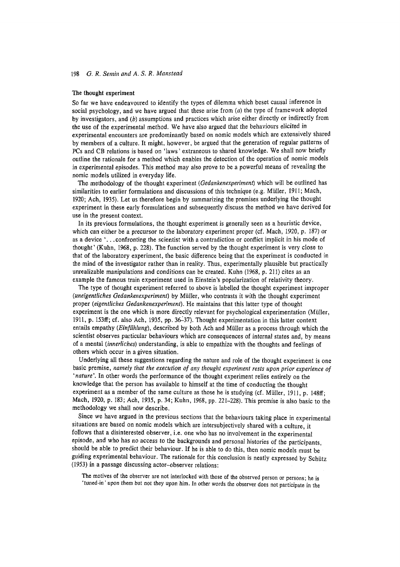# The thought experiment

So far we have endeavoured to identify the types of dilemma which beset causal inference in social psychology, and we have argued that these arise from  $(a)$  the type of framework adopted by investigators, and (b) assumptions and practices which arise either directly or indirectly from the use of the experimental method. We have also argued that the behaviours elicited in experimental encounters are predominantly based on nomic models which are extensively shared by members of a culture. It might, however, be argued that the generation of regular patterns of PCs and CB relations is based on 'laws' extraneous to shared knowledge. We shall now briefly outline the rationale for a method which enables the detection of the operation of nomic models in experimental episodes. This method may also prove to be a powerful means of revealing the nomic models utilized in everyday life.

The methodology of the thought experiment (Gedankenexperiment) which will be outlined has similarities to earlier formulations and discussions of this technique (e.g. Müller, 1911; Mach, 1920; Ach, 1935). Let us therefore begin by summarizing the premises underlying the thought experiment in these early formulations and subsequently discuss the method we have derived for use in the present context.

In its previous formulations, the thought experiment is generally seen as a heuristic device, which can either be a precursor to the laboratory experiment proper (cf. Mach, 1920, p. 187) or as a device '...confronting the scientist with a contradiction or conflict implicit in his mode of thought '(Kuhn, 1968, p. 228). The function served by the thought experiment is very close to that of the laboratory experiment, the basic difference being that the experiment is conducted in the mind of the investigator rather than in reality. Thus, experimentally plausible but practically unrealizable manipulations and conditions can be created. Kuhn (1968, p. 211) cites as an example the famous train experiment used in Einstein's popularization of relativity theory.

The type of thought experiment referred to above is labelled the thought experiment improper (uneigentliches Gedankenexperiment) by Müller, who contrasts it with the thought experiment proper (eigentliches Gedankenexperiment). He maintains that this latter type of thought experiment is the one which is more directly relevant for psychological experimentation (Müller, 1911, p. 153ff; cf. also Ach, 1935, pp. 36-37). Thought experimentation in this latter context entails empathy (Einfühlung), described by both Ach and Müller as a process through which the scientist observes particular behaviours which are consequences of internal states and, by means of a mental *(innerliches)* understanding, is able to empathize with the thoughts and feelings of others which occur in a given situation.

Underlying all these suggestions regarding the nature and role of the thought experiment is one basic premise, namely that the execution of any thought experiment rests upon prior experience of 'nature'. In other words the performance of the thought experiment relies entirely on the knowledge that the person has available to himself at the time of conducting the thought experiment as a member of the same culture as those he is studying (cf. Müller, 1911, p. 148ff; Mach, 1920, p. 183; Ach, 1935, p. 34; Kuhn, 1968, pp. 221-228). This premise is also basic to the methodology we shall now describe.

Since we have argued in the previous sections that the behaviours taking place in experimental situations are based on nomic models which are intersubjectively shared with a culture, it follows that a disinterested observer, i.e. one who has no involvement in the experimental episode, and who has no access to the backgrounds and personal histories of the participants, should be able to predict their behaviour. If he is able to do this, then nomic models must be guiding experimental behaviour. The rationale for this conclusion is neatly expressed by Schütz (1953) in a passage discussing actor-observer relations:

The motives of the observer are not interlocked with those of the observed person or persons; he is 'tuned-in' upon them but not they upon him. In other words the observer does not participate in the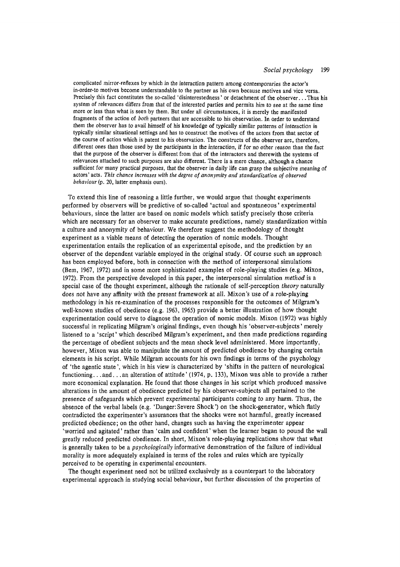#### Social psychology 199

complicated mirror-reflexes by which in the interaction pattern among contemporaries the actor's in-order-to motives become understandable to the partner as his own because motives and vice versa. Precisely this fact constitutes the so-called 'disinterestedness' or detachment of the observer...Thus his system of relevances differs from that of the interested parties and permits him to see at the same time more or less than what is seen by them. But under all circumstances, it is merely the manifested fragments of the action of *both* partners that are accessible to his observation. In order to understand them the observer has to avail himself of his knowledge of typically similar patterns of interaction in typically similar situational settings and has to construct the motives of the actors from that sector of the course of action which is patent to his observation. The constructs of the observer are, therefore, different ones than those used by the participants in the interaction, if for no other reason than the fact that the purpose of the observer is different from that of the interactors and therewith the systems of relevances attached to such purposes are also different. There is a mere chance, although a chance sufficient for many practical purposes, that the observer in daily life can grasp the subjective meaning of actors' acts. This chance increases with the degree of anonymity and standardization of observed behaviour (p. 20, latter emphasis ours).

To extend this line of reasoning a little further, we would argue that thought experiments performed by observers will be predictive of so-called 'actual and spontaneous' experimental behaviours, since the latter are based on nomic models which satisfy precisely those criteria which are necessary for an observer to make accurate predictions, namely standardization within a culture and anonymity of behaviour. We therefore suggest the methodology of thought experiment as a viable means of detecting the operation of nomic models. Thought experimentation entails the replication of an experimental episode, and the prediction by an observer of the dependent variable employed in the original study. Of course such an approach has been employed before, both in connection with the method of interpersonal simulations (Bem, 1967, 1972) and in some more sophisticated examples of role-playing studies (e.g. Mixon, 1972). From the perspective developed in this paper, the interpersonal simulation *method* is a special case of the thought experiment, although the rationale of self-perception theory naturally does not have any affinity with the present framework at all. Mixon's use of a role-playing methodology in his re-examination of the processes responsible for the outcomes of Milgram's well-known studies of obedience (e.g. 1963, 1965) provide a better illustration of how thought experimentation could serve to diagnose the operation of nomic models. Mixon (1972) was highly successful in replicating Milgram's original findings, even though his 'observer-subjects' merely listened to a 'script' which described Milgram's experiment, and then made predictions regarding the percentage of obedient subjects and the mean shock level administered. More importantly, however, Mixon was able to manipulate the amount of predicted obedience by changing certain elements in his script. While Milgram accounts for his own findings in terms of the psychology of 'the agentic state', which in his view is characterized by 'shifts in the pattern of neurological functioning...and...an alteration of attitude  $(1974, p. 133)$ , Mixon was able to provide a rather more economical explanation. He found that those changes in his script which produced massive alterations in the amount of obedience predicted by his observer-subjects all pertained to the presence of safeguards which prevent experimental participants coming to any harm. Thus, the absence of the verbal labels (e.g. 'Danger: Severe Shock') on the shock-generator, which flatly contradicted the experimenter's assurances that the shocks were not harmful, greatly increased predicted obedience; on the other hand, changes such as having the experimenter appear 'worried and agitated' rather than 'calm and confident' when the learner began to pound the wall greatly reduced predicted obedience. In short, Mixon's role-playing replications show that what is generally taken to be a *psychologically* informative demonstration of the failure of individual morality is more adequately explained in terms of the roles and rules which are typically perceived to be operating in experimental encounters.

The thought experiment need not be utilized exclusively as a counterpart to the laboratory experimental approach in studying social behaviour, but further discussion of the properties of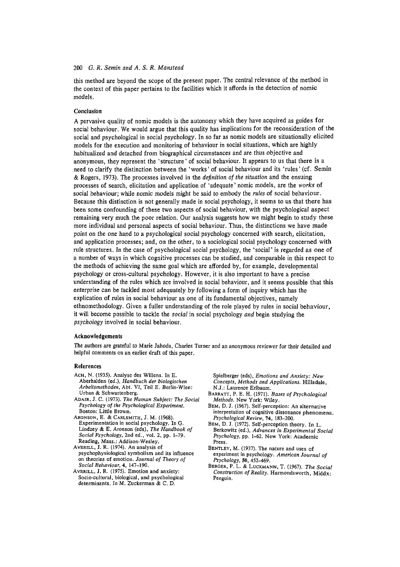this method are beyond the scope of the present paper. The central relevance of the method in the context of this paper pertains to the facilities which it affords in the detection of nomic models.

### Conclusion

A pervasive quality of nomic models is the autonomy which they have acquired as guides for social behaviour. We would argue that this quality has implications for the reconsideration of the social and psychological in social psychology. In so far as nomic models are situationally elicited models for the execution and monitoring of behaviour in social situations, which are highly habitualized and detached from biographical circumstances and are thus objective and anonymous, they represent the 'structure' of social behaviour. It appears to us that there is a need to clarify the distinction between the 'works' of social behaviour and its 'rules' (cf. Semin & Rogers, 1973). The processes involved in the *definition* of the situation and the ensuing processes of search, elicitation and application of 'adequate' nomic models, are the works of social behaviour; while nomic models might be said to embody the rules of social behaviour. Because this distinction is not generally made in social psychology, it seems to us that there has been some confounding of these two aspects of social behaviour, with the psychological aspect remaining very much the poor relation. Our analysis suggests how we might begin to study these more individual and personal aspects of social behaviour. Thus, the distinctions we have made point on the one hand to a psychological social psychology concerned with search, elicitation, and application processes; and, on the other, to a sociological social psychology concerned with rule structures. In the case of psychological social psychology, the 'social' is regarded as one of a number of ways in which cognitive processes can be studied, and comparable in this respect to the methods of achieving the same goal which are afforded by, for example, developmental psychology or cross-cultural psychology. However, it is also important to have a precise understanding of the rules which are involved in social behaviour, and it seems possible that this enterprise can be tackled most adequately by following a form of inquiry which has the explication of rules in social behaviour as one of its fundamental objectives, namely ethnomethodology. Given a fuller understanding of the role played by rules in social behaviour, it will become possible to tackle the social in social psychology and begin studying the psychology involved in social behaviour.

# Acknowledgements

The authors are grateful to Marie Jahoda, Charles Turner and an anonymous reviewer for their detailed and helpful comments on an earlier draft of this paper.

### References

- Асн, N. (1935). Analyse des Willens. In E. Aberhalden (ed.), Handbuch der biologischen Arbeitsmethoden, Abt. VI, Teil E. Berlin-Wien: Urban & Schwartenberg.
- ADAIR, J. C. (1973). The Human Subject: The Social Psychology of the Psychological Experiment. Boston: Little Brown.
- ARONSON, E. & CARLSMITH, J. M. (1968) Experimentation in social psychology. In G. Lindzey & E. Aronson (eds), The Handbook of Social Psychology, 2nd ed., vol. 2, pp. 1-79. Reading, Mass.: Addison-Wesley.
- AVERILL, J. R. (1974). An analysis of psychophysiological symbolism and its influence on theories of emotion. Journal of Theory of Social Behaviour, 4, 147-190.
- AVERILL, J. R. (1975). Emotion and anxiety: Socio-cultural, biological, and psychological determinants. In M. Zuckerman & C. D.

Spielberger (eds), Emotions and Anxiety: New Concepts, Methods and Applications. Hillsdale. N.J.: Laurence Erlbaum.

- BARRATT, P. E. H. (1971). Bases of Psychological Methods. New York: Wiley.
- Вем, D. J. (1967). Self-perception: An alternative interpretation of cognitive dissonance phenomena. Psychological Review, 74, 183-200.
- BEM, D. J. (1972). Self-perception theory. In L. Berkowitz (ed.), Advances in Experimental Social Psychology, pp. 1-62. New York: Academic Press.
- BENTLEY, M. (1937). The nature and uses of experiment in psychology. American Journal of Psychology, 50, 452-469.
- BERGER, P. L. & LUCKMANN, T. (1967). The Social Construction of Reality. Harmondsworth, Middx: Penguin.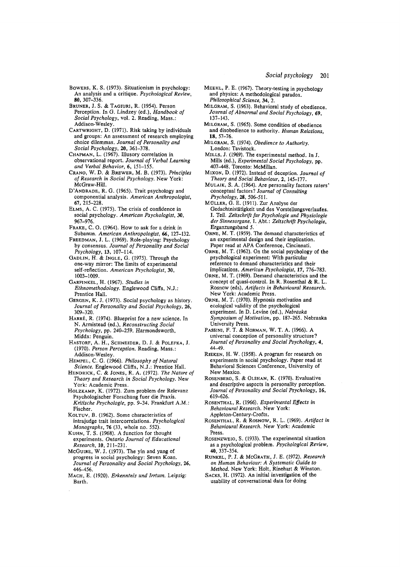- BOWERS, K. S. (1973). Situationism in psychology: An analysis and a critique. Psychological Review, 80, 307-336.
- BRUNER, J. S. & TAGIURI, R. (1954). Person Perception. In G. Lindzey (ed.), Handbook of Social Psychology, vol. 2. Reading, Mass.: Addison-Wesley
- CARTWRIGHT, D. (1971). Risk taking by individuals and groups: An assessment of research employing choice dilemmas. Journal of Personality and Social Psychology, 20, 361-378.<br>CHAPMAN, L. (1967). Illusory correlation in
- observational report. Journal of Verbal Learning and Verbal Behavior, 6, 151-155.
- CRANO, W. D. & BREWER, M. B. (1973). Principles of Research in Social Psychology. New York: McGraw Hill
- D'ANDRADE, R. G. (1965). Trait psychology and componential analysis. American Anthropologist,  $67.215 - 228.$
- ELMS, A. C. (1975). The crisis of confidence in social psychology. American Psychologist, 30, 967-976
- FRAKE, C. O. (1964). How to ask for a drink in Subanun. American Anthropologist, 66, 127-132.
- FREEDMAN, J. L. (1969). Role-playing: Psychology by consensus. Journal of Personality and Social Psychology, 13, 107-114.
- GADLIN, H. & INGLE, G. (1975). Through the one-way mirror: The limits of experimental self-reflection. American Psychologist. 30. 1003-1009.
- GARFINKEL, H. (1967). Studies in Ethnomethodology. Englewood Cliffs, N.J.: Prentice Hall.
- GERGEN, K. J. (1973). Social psychology as history. Journal of Personality and Social Psychology, 26,  $309 - 320$
- HARRÉ, R. (1974). Blueprint for a new science. In N. Armistead (ed.), Reconstructing Social Psychology, pp. 240-259. Harmondsworth, Middx: Penguin.
- HASTORF, A. H., SCHNEIDER, D. J. & POLEFKA, J. (1970). Person Perception. Reading, Mass.: Addison-Wesley
- HEMPEL, C. G. (1966). Philosophy of Natural Science. Englewood Cliffs, N.J.: Prentice Hall.
- HENDRICK, C. & JONES, R. A. (1972). The Nature of Theory and Research in Social Psychology. New York: Academic Press.
- HOLZKAMP, K. (1972). Zum problem der Relevanz Psychologischer Forschung fuer die Praxis. Kritische Psychologie, pp. 9-34. Frankfurt A.M.: Fischer.
- KOLTUV, B. (1962). Some characteristics of intrajudge trait intercorrelations. Psychological Monographs, 76 (33, whole no. 552).
- KUHN, T. S. (1968). A function for thought experiments. Ontario Journal of Educational Research, 10, 211-231.
- McGUIRE, W. J. (1973). The yin and yang of progress in social psychology: Seven Koan. Journal of Personality and Social Psychology, 26, 446-456.
- MACH, E. (1920). Erkenntnis und Irrtum. Leipzig: Barth.
- MEEHL, P. E. (1967). Theory-testing in psychology and physics: A methodological paradox. Philosophical Science, 34, 2.
- MILGRAM, S. (1963). Behavioral study of obedience. Journal of Abnormal and Social Psychology, 69,  $137 - 143$
- MILGRAM, S. (1965). Some condition of obedience and disobedience to authority. Human Relations, 18.57-76.
- MILGRAM, S. (1974). Obedience to Authority. London: Tavistock.
- MILLS, J. (1969). The experimental method. In J. Mills (ed.), Experimental Social Psychology, pp. 407-448. Toronto: McMillan.
- MIXON, D. (1972). Instead of deception. Journal of Theory and Social Behaviour, 2, 145-177.
- MULAIK, S. A. (1964). Are personality factors raters' conceptual factors? Journal of Consulting Psychology, 28, 506-511.
- MÜLLER. G. E. (1911). Zur Analyse der Gedachtnistätigkeit und des Vorstellungsverlaufes. I. Teil. Zeitschrift fur Psychologie und Physiologie der Sinnesorgane, I. Abt.: Zeitschrift Psychologie, Erganzungsband 5.
- ORNE, M. T. (1959). The demand characteristics of an experimental design and their implication. Paper read at APA Conference, Cincinnati.
- ORNE, M. T. (1962). On the social psychology of the psychological experiment: With particular reference to demand characteristics and their implications. American Psychologist, 17, 776-783.
- ORNE, M. T. (1969). Demand characteristics and the concept of quasi-control. In R. Rosenthal & R. L. Rosnow (eds), Artifacts in Behavioural Research. New York: Academic Press.
- ORNE, M. T. (1970). Hypnosis motivation and ecological validity of the psychological experiment. In D. Levine (ed.), Nebraska Symposium of Motivation, pp. 187-265. Nebraska **Hniversity Press**
- PASSINI, F. T. & NORMAN, W. T. A. (1966). A universal conception of personality structure? Journal of Personality and Social Psychology, 4, 44-49.
- RIEKEN, H. W. (1958). A program for research on experiments in social psychology. Paper read at Behavioral Sciences Conference, University of New Mexico.
- ROSENBERG, S. & OLSHAN, K. (1970). Evaluative and descriptive aspects in personality perception. Journal of Personality and Social Psychology, 16, 619-626.
- ROSENTHAL, R. (1966). Experimental Effects in Behavioural Research. New York: Appleton-Century-Crofts.
- ROSENTHAL, R. & ROSNOW, R. L. (1969). Artifact in Behavioural Research. New York: Academic Press.
- ROSENZWEIG, S. (1933). The experimental situation as a psychological problem. Psychological Review, 40.337-354
- RUNKEL, P. J. & McGRATH, J. E. (1972). Research on Human Behaviour: A Systematic Guide to Method. New York: Holt, Rinehart & Winston.
- SACKS, H. (1972). An initial investigation of the usability of conversational data for doing